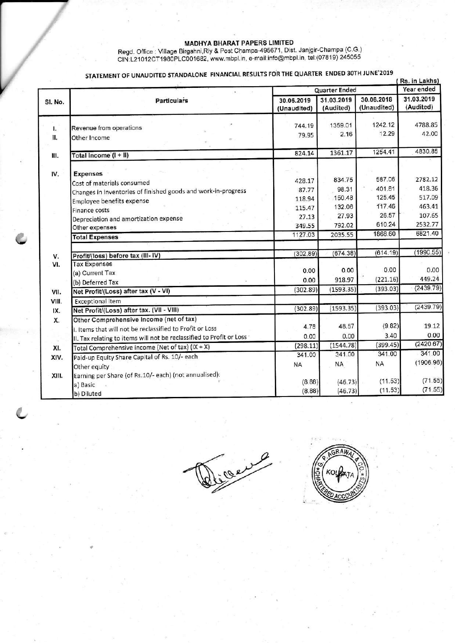MADHYA BHARAT PAPERS LIMITED<br>Regd. Office : Village Birgahni, Rly & Post Champa-495671, Dist. Janjgir-Champa (C.G.)<br>CIN:L21012CT1980PLC001682, www.mbpl.in, e-mail:info@mbpl.in, tel:(07819) 245055

|         | STATEMENT OF UNAUDITED STANDALONE FINANCIAL RESULTS FOR THE QUARTER ENDED 30TH JUNE 2019<br>(Rs. in Lakhs) |                           |                         |                           |                         |
|---------|------------------------------------------------------------------------------------------------------------|---------------------------|-------------------------|---------------------------|-------------------------|
|         | <b>Particulars</b>                                                                                         | Quarter Ended             |                         |                           | Year ended              |
| SI. No. |                                                                                                            | 30.06.2019<br>(Unaudited) | 31.03.2019<br>(Audited) | 30.06.2018<br>(Unaudited) | 31.03.2019<br>(Audited) |
| ι.      | Revenue from operations                                                                                    | 744.19                    | 1359.01                 | 1242.12                   | 4788.85                 |
| H.      | Other Income                                                                                               | 79.95                     | 2.16                    | 12.29                     | 42.00                   |
|         |                                                                                                            | 824.14                    | 1361.17                 | 1254.41                   | 4830.85                 |
| Ш.      | Total Income (I + II)                                                                                      |                           |                         |                           |                         |
| IV.     | <b>Expenses</b>                                                                                            |                           |                         |                           |                         |
|         | Cost of materials consumed                                                                                 | 428.17                    | 834.75                  | 587.06                    | 2782.12                 |
|         | Changes in inventories of finished goods and work-in-progress                                              | 87.77                     | 98.31                   | 401.81                    | 418.36                  |
|         | Employee benefits expense                                                                                  | 118.94                    | 150.48                  | 125.45                    | 517.09                  |
|         | <b>Finance costs</b>                                                                                       | 115.47                    | 132.06                  | 117.46                    | 463.41                  |
|         | Depreciation and amortization expense                                                                      | 27.13                     | 27.93                   | 26.57                     | 107.65                  |
|         | Other expenses                                                                                             | 349.55                    | 792.02                  | 610.24                    | 2532.77                 |
|         | <b>Total Expenses</b>                                                                                      | 1127.03                   | 2035.55                 | 1868.60                   | 6821.40                 |
| V.      | Profit/(loss) before tax (III-IV)                                                                          | (302.89)                  | (674.38)                | (614.19)                  | (1990.55)               |
| VI.     | <b>Tax Expenses</b>                                                                                        |                           |                         |                           |                         |
|         | (a) Current Tax                                                                                            | 0.00                      | 0.00                    | 0.00                      | 0.00                    |
|         | (b) Deferred Tax                                                                                           | 0.00                      | 918.97                  | (221.16)                  | 449.24                  |
| VII.    | Net Profit/(Loss) after tax (V - VI)                                                                       | (302.89)                  | (1593.35)               | (393.03)                  | (2439.79)               |
| VIII.   | <b>Exceptional item</b>                                                                                    |                           |                         |                           |                         |
| IX.     | Net Profit/(Loss) after tax. (VII - VIII)                                                                  | (302.89)                  | (1593.35)               | (393.03)                  | (2439.79)               |
| Х.      | Other Comprehensive Income (net of tax)                                                                    |                           |                         |                           |                         |
|         | I. Items that will not be reclassified to Profit or Loss                                                   | 4.78                      | 48.57                   | (9.82)                    | 19.12                   |
|         | II. Tax relating to items will not be reclassified to Profit or Loss                                       | 0.00                      | 0.00                    | 3.40                      | 0.00                    |
| XI.     | Total Comprehensive income (Net of tax) (IX + X)                                                           | (298.11)                  | (1544.78)               | (399.45)                  | (2420.67)               |
| XIV.    | Paid-up Equity Share Capital of Rs. 10/- each                                                              | 341.00                    | 341.00                  | 341.00                    | 341.00                  |
|         | Other equity                                                                                               | <b>NA</b>                 | ΝA                      | NA                        | (1906.96                |
| XIII.   | Earning per Share (of Rs.10/- each) (not annualised):                                                      |                           |                         |                           |                         |
|         | a) Basic                                                                                                   | (8.88)                    | (46.73)                 | (11.53)                   | (71.55)                 |
|         | b) Diluted                                                                                                 | (8.88)                    | (46.73)                 | (11.53)                   | (71.55)                 |

a e

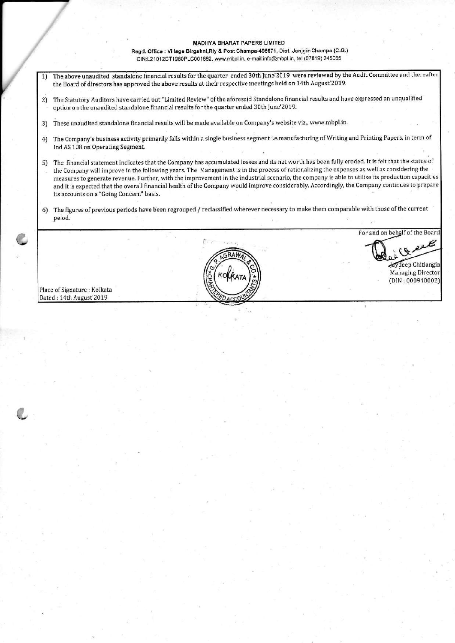## **MADHYA BHARAT PAPERS LIMITED**

Regd. Office : Village Birgahni,Rly & Post Champa-495671, Dist. Janjgir-Champa (C.G.) clN:1210'12CT1980P1c001682, www.mbpl.in, e.mail:info@mbpl.in, teli(0781s) 245055

- The above unaudited standalone financial results for the quarter ended 30th June'2019 were reviewed by the Audit Committee and thereafter  $1)$ the Board of directors has approved the above results at their respective meetings held on 14th August'2019.
- 2) The Statutory Auditors have carried out "Limited Review" of the aforesaid Standalone financial results and have expressed an unqualified option on the unaudited standalone financial results for the quarter ended 3oth June'2019
- 3) These unaudited standalone financial results will be made available on Company's website viz., www.mbpl.in.
- 4) The Company's business activity primarily falls within a single business segment i.e.manufacturing of Writing and Printing Papers, in term of Ind AS 108 on Operating Segment.
- 5) The financial statement indicates that the Company has accumulated losses and its net worth has been fully eroded. It is felt that the status of the Company will improve in the following years. The Management is in the process of rationalizing the expenses as well as considering the measures to generate revenue. Further, with the improvement in the industrial scenario, the company is able to utilise its production capacities and it is expected that the overall financial health of the Company would improve considerably. Accordingly, the Company continues to prepare its accounts on a "Coing Concern" basis,
- 6) The figures of previous periods have been regrouped / reclassified wherever necessary to make them comparable with those of the current peiod.

Place of Signature : Kolkata<br>Dated : 14th August'2019

l **Javdeep Chitlangia** 

For and on behalf of the Board

Managing Director  $(DIN:000940002)$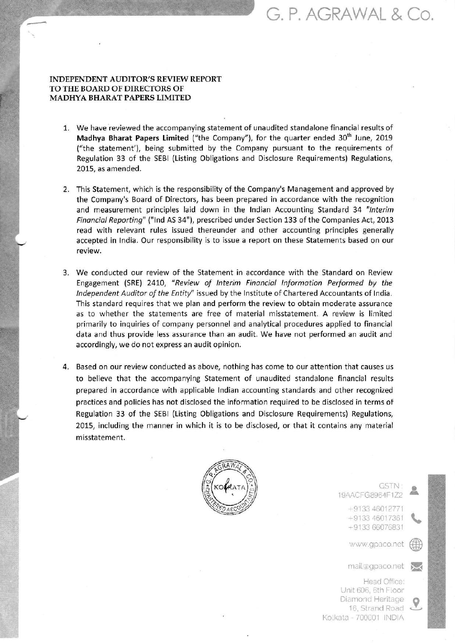# G. P. AGRAWAL & Co.

## INDEPENDENT AUDITOR'S REVIEW REPORT TO THE BOARD OF DIRECTORS OF MADHYA BHARAT PAPERS LIMITED

- 1. We have reviewed the accompanying statement of unaudited standalone financial results of Madhya Bharat Papers Limited ("the Company"), for the quarter ended 30<sup>th</sup> June, 2019 ("the statement'), being submitted by the Company pursuant to the requirements of Regulation 33 of the SEBI (Listing Obligations and Disclosure Requirements) Regulations, 2015, as amended.
- This Statement, which is the responsibility of the Company's Management and approved by 2. the Company's Board of Directors, has been prepared in accordance with the recognition and measurement principles laid down in the Indian Accounting Standard 34 "Interim Finonciol Reporting" ("lnd As 34"), prescribed under Section 133 of the Companies Act, 2013 read with relevant rules issued thereunder and other accounting principles generally accepted in lndia. our responsibility is to issue a report on these statements based on our review.
- 3. We conducted our review of the Statement in accordance with the Standard on Review Engagement (SRE) 2410, "Review of lnterim Finonciol lnformotion Performed by the Independent Auditor of the Entity" issued by the Institute of Chartered Accountants of India. This standard requires that we plan and perform the review to obtain moderate assurance as to whether the statements are free of material misstatement. A review is limited primarily to inquiries of company personnel and analytical procedures applied to financial data and thus provide less assurance than an audit. We have not performed an audit and accordingly, we do not express an audit opinion.
- 4. Based on our review conducted as above, nothing has come to our attention that causes us to believe that the accompanying Statement of unaudited standalone financial results prepared in accordance with appllcable lndian accounting standards and other recognized practices and policies has not disclosed the lnformation required to be disclosed in terms of Regulation 33 of the SEBI (Listing Obligations and Disclosure Requirements) Regulations, 2015, including the manner in which it is to be disclosed, or that it contains any material misstatement.



GSTN : 19AACFG8964F1Z2

> +9133 46012771 +9133 46017361 +9133 66076831

> www.gpaco.net

mail@gpaco.net

 $\curvearrowright$ 

Head Office: Unit 606, 6th Floor Dlamond Heritage 16, Strand Road Kotkata - 700001 INDIA